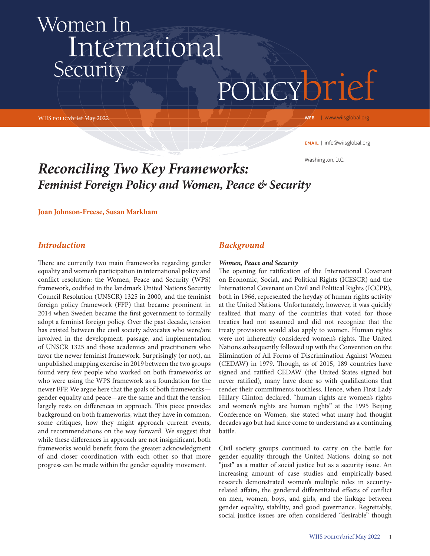# policybrief Women In International **Security**

WIIS policybrief May 2022

WEB | www.wiisglobal.org

email | info@wiisglobal.org

Washington, D.C.

# *Reconciling Two Key Frameworks: Feminist Foreign Policy and Women, Peace & Security*

**Joan Johnson-Freese, Susan Markham** 

#### *Introduction*

There are currently two main frameworks regarding gender equality and women's participation in international policy and conflict resolution: the Women, Peace and Security (WPS) framework, codified in the landmark United Nations Security Council Resolution (UNSCR) 1325 in 2000, and the feminist foreign policy framework (FFP) that became prominent in 2014 when Sweden became the first government to formally adopt a feminist foreign policy. Over the past decade, tension has existed between the civil society advocates who were/are involved in the development, passage, and implementation of UNSCR 1325 and those academics and practitioners who favor the newer feminist framework. Surprisingly (or not), an unpublished mapping exercise in 2019 between the two groups found very few people who worked on both frameworks or who were using the WPS framework as a foundation for the newer FFP. We argue here that the goals of both frameworks gender equality and peace—are the same and that the tension largely rests on differences in approach. This piece provides background on both frameworks, what they have in common, some critiques, how they might approach current events, and recommendations on the way forward. We suggest that while these differences in approach are not insignificant, both frameworks would benefit from the greater acknowledgment of and closer coordination with each other so that more progress can be made within the gender equality movement.

### *Background*

#### *Women, Peace and Security*

The opening for ratification of the International Covenant on Economic, Social, and Political Rights (ICESCR) and the International Covenant on Civil and Political Rights (ICCPR), both in 1966, represented the heyday of human rights activity at the United Nations. Unfortunately, however, it was quickly realized that many of the countries that voted for those treaties had not assumed and did not recognize that the treaty provisions would also apply to women. Human rights were not inherently considered women's rights. The United Nations subsequently followed up with the Convention on the Elimination of All Forms of Discrimination Against Women (CEDAW) in 1979. Though, as of 2015, 189 countries have signed and ratified CEDAW (the United States signed but never ratified), many have done so with qualifications that render their commitments toothless. Hence, when First Lady Hillary Clinton declared, "human rights are women's rights and women's rights are human rights" at the 1995 Beijing Conference on Women, she stated what many had thought decades ago but had since come to understand as a continuing battle.

Civil society groups continued to carry on the battle for gender equality through the United Nations, doing so not "just" as a matter of social justice but as a security issue. An increasing amount of case studies and empirically-based research demonstrated women's multiple roles in securityrelated affairs, the gendered differentiated effects of conflict on men, women, boys, and girls, and the linkage between gender equality, stability, and good governance. Regrettably, social justice issues are often considered "desirable" though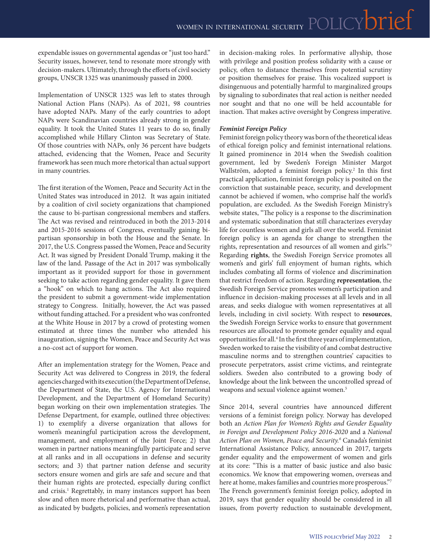expendable issues on governmental agendas or "just too hard." Security issues, however, tend to resonate more strongly with decision-makers. Ultimately, through the efforts of civil society groups, UNSCR 1325 was unanimously passed in 2000.

Implementation of UNSCR 1325 was left to states through National Action Plans (NAPs). As of 2021, 98 countries have adopted NAPs. Many of the early countries to adopt NAPs were Scandinavian countries already strong in gender equality. It took the United States 11 years to do so, finally accomplished while Hillary Clinton was Secretary of State. Of those countries with NAPs, only 36 percent have budgets attached, evidencing that the Women, Peace and Security framework has seen much more rhetorical than actual support in many countries.

The first iteration of the Women, Peace and Security Act in the United States was introduced in 2012. It was again initiated by a coalition of civil society organizations that championed the cause to bi-partisan congressional members and staffers. The Act was revised and reintroduced in both the 2013-2014 and 2015-2016 sessions of Congress, eventually gaining bipartisan sponsorship in both the House and the Senate. In 2017, the U.S. Congress passed the Women, Peace and Security Act. It was signed by President Donald Trump, making it the law of the land. Passage of the Act in 2017 was symbolically important as it provided support for those in government seeking to take action regarding gender equality. It gave them a "hook" on which to hang actions. The Act also required the president to submit a government-wide implementation strategy to Congress. Initially, however, the Act was passed without funding attached. For a president who was confronted at the White House in 2017 by a crowd of protesting women estimated at three times the number who attended his inauguration, signing the Women, Peace and Security Act was a no-cost act of support for women.

After an implementation strategy for the Women, Peace and Security Act was delivered to Congress in 2019, the federal agencies charged with its execution (the Department of Defense, the Department of State, the U.S. Agency for International Development, and the Department of Homeland Security) began working on their own implementation strategies. The Defense Department, for example, outlined three objectives: 1) to exemplify a diverse organization that allows for women's meaningful participation across the development, management, and employment of the Joint Force; 2) that women in partner nations meaningfully participate and serve at all ranks and in all occupations in defense and security sectors; and 3) that partner nation defense and security sectors ensure women and girls are safe and secure and that their human rights are protected, especially during conflict and crisis.1 Regrettably, in many instances support has been slow and often more rhetorical and performative than actual, as indicated by budgets, policies, and women's representation

in decision-making roles. In performative allyship, those with privilege and position profess solidarity with a cause or policy, often to distance themselves from potential scrutiny or position themselves for praise. This vocalized support is disingenuous and potentially harmful to marginalized groups by signaling to subordinates that real action is neither needed nor sought and that no one will be held accountable for inaction. That makes active oversight by Congress imperative.

#### *Feminist Foreign Policy*

Feminist foreign policy theory was born of the theoretical ideas of ethical foreign policy and feminist international relations. It gained prominence in 2014 when the Swedish coalition government, led by Sweden's Foreign Minister Margot Wallström, adopted a feminist foreign policy.<sup>2</sup> In this first practical application, feminist foreign policy is posited on the conviction that sustainable peace, security, and development cannot be achieved if women, who comprise half the world's population, are excluded. As the Swedish Foreign Ministry's website states, "The policy is a response to the discrimination and systematic subordination that still characterizes everyday life for countless women and girls all over the world. Feminist foreign policy is an agenda for change to strengthen the rights, representation and resources of all women and girls."3 Regarding **rights**, the Swedish Foreign Service promotes all women's and girls' full enjoyment of human rights, which includes combating all forms of violence and discrimination that restrict freedom of action. Regarding **representation**, the Swedish Foreign Service promotes women's participation and influence in decision-making processes at all levels and in all areas, and seeks dialogue with women representatives at all levels, including in civil society. With respect to **resources**, the Swedish Foreign Service works to ensure that government resources are allocated to promote gender equality and equal opportunities for all.4 In the first three years of implementation, Sweden worked to raise the visibility of and combat destructive masculine norms and to strengthen countries' capacities to prosecute perpetrators, assist crime victims, and reintegrate soldiers. Sweden also contributed to a growing body of knowledge about the link between the uncontrolled spread of weapons and sexual violence against women.<sup>5</sup>

Since 2014, several countries have announced different versions of a feminist foreign policy. Norway has developed both an *Action Plan for Women's Rights and Gender Equality in Foreign and Development Policy 2016-2020* and a *National Action Plan on Women, Peace and Security.6* Canada's feminist International Assistance Policy, announced in 2017, targets gender equality and the empowerment of women and girls at its core: "This is a matter of basic justice and also basic economics. We know that empowering women, overseas and here at home, makes families and countries more prosperous."7 The French government's feminist foreign policy, adopted in 2019, says that gender equality should be considered in all issues, from poverty reduction to sustainable development,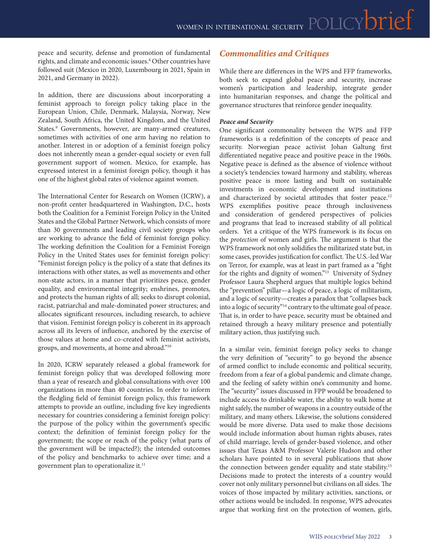peace and security, defense and promotion of fundamental rights, and climate and economic issues.8 Other countries have followed suit (Mexico in 2020, Luxembourg in 2021, Spain in 2021, and Germany in 2022).

In addition, there are discussions about incorporating a feminist approach to foreign policy taking place in the European Union, Chile, Denmark, Malaysia, Norway, New Zealand, South Africa, the United Kingdom, and the United States.<sup>9</sup> Governments, however, are many-armed creatures, sometimes with activities of one arm having no relation to another. Interest in or adoption of a feminist foreign policy does not inherently mean a gender-equal society or even full government support of women. Mexico, for example, has expressed interest in a feminist foreign policy, though it has one of the highest global rates of violence against women.

The International Center for Research on Women (ICRW), a non-profit center headquartered in Washington, D.C., hosts both the Coalition for a Feminist Foreign Policy in the United States and the Global Partner Network, which consists of more than 30 governments and leading civil society groups who are working to advance the field of feminist foreign policy. The working definition the Coalition for a Feminist Foreign Policy in the United States uses for feminist foreign policy: "Feminist foreign policy is the policy of a state that defines its interactions with other states, as well as movements and other non-state actors, in a manner that prioritizes peace, gender equality, and environmental integrity; enshrines, promotes, and protects the human rights of all; seeks to disrupt colonial, racist, patriarchal and male-dominated power structures; and allocates significant resources, including research, to achieve that vision. Feminist foreign policy is coherent in its approach across all its levers of influence, anchored by the exercise of those values at home and co-created with feminist activists, groups, and movements, at home and abroad."10

In 2020, ICRW separately released a global framework for feminist foreign policy that was developed following more than a year of research and global consultations with over 100 organizations in more than 40 countries. In order to inform the fledgling field of feminist foreign policy, this framework attempts to provide an outline, including five key ingredients necessary for countries considering a feminist foreign policy: the purpose of the policy within the government's specific context; the definition of feminist foreign policy for the government; the scope or reach of the policy (what parts of the government will be impacted?); the intended outcomes of the policy and benchmarks to achieve over time; and a government plan to operationalize it.<sup>11</sup>

# *Commonalities and Critiques*

While there are differences in the WPS and FFP frameworks, both seek to expand global peace and security, increase women's participation and leadership, integrate gender into humanitarian responses, and change the political and governance structures that reinforce gender inequality.

#### *Peace and Security*

One significant commonality between the WPS and FFP frameworks is a redefinition of the concepts of peace and security. Norwegian peace activist Johan Galtung first differentiated negative peace and positive peace in the 1960s. Negative peace is defined as the absence of violence without a society's tendencies toward harmony and stability, whereas positive peace is more lasting and built on sustainable investments in economic development and institutions and characterized by societal attitudes that foster peace.<sup>12</sup> WPS exemplifies positive peace through inclusiveness and consideration of gendered perspectives of policies and programs that lead to increased stability of all political orders. Yet a critique of the WPS framework is its focus on the *protection* of women and girls. The argument is that the WPS framework not only solidifies the militarized state but, in some cases, provides justification for conflict. The U.S.-led War on Terror, for example, was at least in part framed as a "fight for the rights and dignity of women."13 University of Sydney Professor Laura Shepherd argues that multiple logics behind the "prevention" pillar—a logic of peace, a logic of militarism, and a logic of security—creates a paradox that "collapses back into a logic of security"<sup>14</sup> contrary to the ultimate goal of peace. That is, in order to have peace, security must be obtained and retained through a heavy military presence and potentially military action, thus justifying such.

In a similar vein, feminist foreign policy seeks to change the very definition of "security" to go beyond the absence of armed conflict to include economic and political security, freedom from a fear of a global pandemic and climate change, and the feeling of safety within one's community and home. The "security" issues discussed in FPP would be broadened to include access to drinkable water, the ability to walk home at night safely, the number of weapons in a country outside of the military, and many others. Likewise, the solutions considered would be more diverse. Data used to make those decisions would include information about human rights abuses, rates of child marriage, levels of gender-based violence, and other issues that Texas A&M Professor Valerie Hudson and other scholars have pointed to in several publications that show the connection between gender equality and state stability.15 Decisions made to protect the interests of a country would cover not only military personnel but civilians on all sides. The voices of those impacted by military activities, sanctions, or other actions would be included. In response, WPS advocates argue that working first on the protection of women, girls,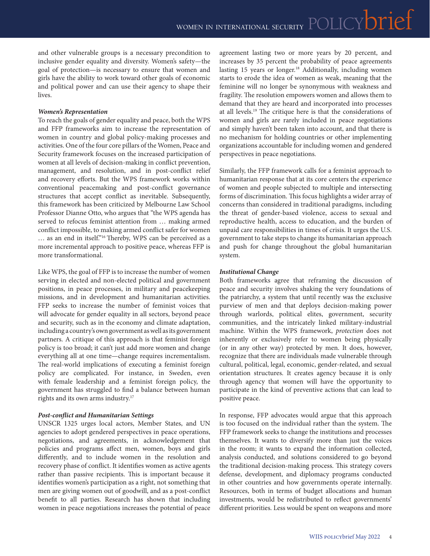and other vulnerable groups is a necessary precondition to inclusive gender equality and diversity. Women's safety—the goal of protection—is necessary to ensure that women and girls have the ability to work toward other goals of economic and political power and can use their agency to shape their lives.

#### *Women's Representation*

To reach the goals of gender equality and peace, both the WPS and FFP frameworks aim to increase the representation of women in country and global policy-making processes and activities. One of the four core pillars of the Women, Peace and Security framework focuses on the increased participation of women at all levels of decision-making in conflict prevention, management, and resolution, and in post-conflict relief and recovery efforts. But the WPS framework works within conventional peacemaking and post-conflict governance structures that accept conflict as inevitable. Subsequently, this framework has been criticized by Melbourne Law School Professor Dianne Otto, who argues that "the WPS agenda has served to refocus feminist attention from … making armed conflict impossible, to making armed conflict safer for women … as an end in itself."16 Thereby, WPS can be perceived as a more incremental approach to positive peace, whereas FFP is more transformational.

Like WPS, the goal of FFP is to increase the number of women serving in elected and non-elected political and government positions, in peace processes, in military and peacekeeping missions, and in development and humanitarian activities. FFP seeks to increase the number of feminist voices that will advocate for gender equality in all sectors, beyond peace and security, such as in the economy and climate adaptation, including a country's own government as well as its government partners. A critique of this approach is that feminist foreign policy is too broad; it can't just add more women and change everything all at one time—change requires incrementalism. The real-world implications of executing a feminist foreign policy are complicated. For instance, in Sweden, even with female leadership and a feminist foreign policy, the government has struggled to find a balance between human rights and its own arms industry.17

#### *Post-conflict and Humanitarian Settings*

UNSCR 1325 urges local actors, Member States, and UN agencies to adopt gendered perspectives in peace operations, negotiations, and agreements, in acknowledgement that policies and programs affect men, women, boys and girls differently, and to include women in the resolution and recovery phase of conflict. It identifies women as active agents rather than passive recipients. This is important because it identifies women's participation as a right, not something that men are giving women out of goodwill, and as a post-conflict benefit to all parties. Research has shown that including women in peace negotiations increases the potential of peace agreement lasting two or more years by 20 percent, and increases by 35 percent the probability of peace agreements lasting 15 years or longer.<sup>18</sup> Additionally, including women starts to erode the idea of women as weak, meaning that the feminine will no longer be synonymous with weakness and fragility. The resolution empowers women and allows them to demand that they are heard and incorporated into processes at all levels.19 The critique here is that the considerations of women and girls are rarely included in peace negotiations and simply haven't been taken into account, and that there is no mechanism for holding countries or other implementing organizations accountable for including women and gendered perspectives in peace negotiations.

Similarly, the FFP framework calls for a feminist approach to humanitarian response that at its core centers the experience of women and people subjected to multiple and intersecting forms of discrimination. This focus highlights a wider array of concerns than considered in traditional paradigms, including the threat of gender-based violence, access to sexual and reproductive health, access to education, and the burden of unpaid care responsibilities in times of crisis. It urges the U.S. government to take steps to change its humanitarian approach and push for change throughout the global humanitarian system.

#### *Institutional Change*

Both frameworks agree that reframing the discussion of peace and security involves shaking the very foundations of the patriarchy, a system that until recently was the exclusive purview of men and that deploys decision-making power through warlords, political elites, government, security communities, and the intricately linked military-industrial machine. Within the WPS framework, *protection* does not inherently or exclusively refer to women being physically (or in any other way) protected by men. It does, however, recognize that there are individuals made vulnerable through cultural, political, legal, economic, gender-related, and sexual orientation structures. It creates agency because it is only through agency that women will have the opportunity to participate in the kind of preventive actions that can lead to positive peace.

In response, FFP advocates would argue that this approach is too focused on the individual rather than the system. The FFP framework seeks to change the institutions and processes themselves. It wants to diversify more than just the voices in the room; it wants to expand the information collected, analysis conducted, and solutions considered to go beyond the traditional decision-making process. This strategy covers defense, development, and diplomacy programs conducted in other countries and how governments operate internally. Resources, both in terms of budget allocations and human investments, would be redistributed to reflect governments' different priorities. Less would be spent on weapons and more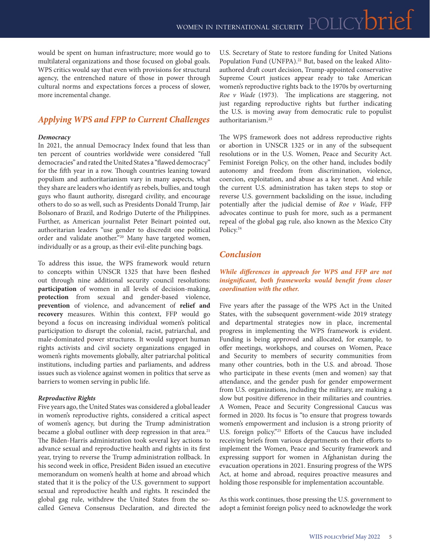would be spent on human infrastructure; more would go to multilateral organizations and those focused on global goals. WPS critics would say that even with provisions for structural agency, the entrenched nature of those in power through cultural norms and expectations forces a process of slower, more incremental change.

# *Applying WPS and FPP to Current Challenges*

#### *Democracy*

In 2021, the annual Democracy Index found that less than ten percent of countries worldwide were considered "full democracies" and rated the United States a "flawed democracy" for the fifth year in a row. Though countries leaning toward populism and authoritarianism vary in many aspects, what they share are leaders who identify as rebels, bullies, and tough guys who flaunt authority, disregard civility, and encourage others to do so as well, such as Presidents Donald Trump, Jair Bolsonaro of Brazil, and Rodrigo Duterte of the Philippines. Further, as American journalist Peter Beinart pointed out, authoritarian leaders "use gender to discredit one political order and validate another."20 Many have targeted women, individually or as a group, as their evil-elite punching bags.

To address this issue, the WPS framework would return to concepts within UNSCR 1325 that have been fleshed out through nine additional security council resolutions: **participation** of women in all levels of decision-making, **protection** from sexual and gender-based violence, **prevention** of violence, and advancement of **relief and recovery** measures. Within this context, FFP would go beyond a focus on increasing individual women's political participation to disrupt the colonial, racist, patriarchal, and male-dominated power structures. It would support human rights activists and civil society organizations engaged in women's rights movements globally, alter patriarchal political institutions, including parties and parliaments, and address issues such as violence against women in politics that serve as barriers to women serving in public life.

#### *Reproductive Rights*

Five years ago, the United States was considered a global leader in women's reproductive rights, considered a critical aspect of women's agency, but during the Trump administration became a global outliner with deep regression in that area.<sup>21</sup> The Biden-Harris administration took several key actions to advance sexual and reproductive health and rights in its first year, trying to reverse the Trump administration rollback. In his second week in office, President Biden issued an executive memorandum on women's health at home and abroad which stated that it is the policy of the U.S. government to support sexual and reproductive health and rights. It rescinded the global gag rule, withdrew the United States from the socalled Geneva Consensus Declaration, and directed the U.S. Secretary of State to restore funding for United Nations Population Fund (UNFPA).<sup>22</sup> But, based on the leaked Alitoauthored draft court decision, Trump-appointed conservative Supreme Court justices appear ready to take American women's reproductive rights back to the 1970s by overturning *Roe v Wade* (1973). The implications are staggering, not just regarding reproductive rights but further indicating the U.S. is moving away from democratic rule to populist authoritarianism.23

The WPS framework does not address reproductive rights or abortion in UNSCR 1325 or in any of the subsequent resolutions or in the U.S. Women, Peace and Security Act. Feminist Foreign Policy, on the other hand, includes bodily autonomy and freedom from discrimination, violence, coercion, exploitation, and abuse as a key tenet. And while the current U.S. administration has taken steps to stop or reverse U.S. government backsliding on the issue, including potentially after the judicial demise of *Roe v Wade*, FFP advocates continue to push for more, such as a permanent repeal of the global gag rule, also known as the Mexico City Policy.<sup>24</sup>

## *Conclusion*

#### *While differences in approach for WPS and FFP are not insignificant, both frameworks would benefit from closer coordination with the other.*

Five years after the passage of the WPS Act in the United States, with the subsequent government-wide 2019 strategy and departmental strategies now in place, incremental progress in implementing the WPS framework is evident. Funding is being approved and allocated, for example, to offer meetings, workshops, and courses on Women, Peace and Security to members of security communities from many other countries, both in the U.S. and abroad. Those who participate in these events (men and women) say that attendance, and the gender push for gender empowerment from U.S. organizations, including the military, are making a slow but positive difference in their militaries and countries. A Women, Peace and Security Congressional Caucus was formed in 2020. Its focus is "to ensure that progress towards women's empowerment and inclusion is a strong priority of U.S. foreign policy."25 Efforts of the Caucus have included receiving briefs from various departments on their efforts to implement the Women, Peace and Security framework and expressing support for women in Afghanistan during the evacuation operations in 2021. Ensuring progress of the WPS Act, at home and abroad, requires proactive measures and holding those responsible for implementation accountable.

As this work continues, those pressing the U.S. government to adopt a feminist foreign policy need to acknowledge the work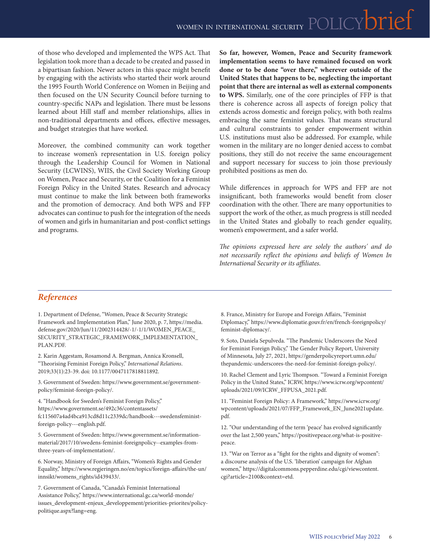of those who developed and implemented the WPS Act. That legislation took more than a decade to be created and passed in a bipartisan fashion. Newer actors in this space might benefit by engaging with the activists who started their work around the 1995 Fourth World Conference on Women in Beijing and then focused on the UN Security Council before turning to country-specific NAPs and legislation. There must be lessons learned about Hill staff and member relationships, allies in non-traditional departments and offices, effective messages, and budget strategies that have worked.

Moreover, the combined community can work together to increase women's representation in U.S. foreign policy through the Leadership Council for Women in National Security (LCWINS), WIIS, the Civil Society Working Group on Women, Peace and Security, or the Coalition for a Feminist Foreign Policy in the United States. Research and advocacy must continue to make the link between both frameworks and the promotion of democracy. And both WPS and FFP advocates can continue to push for the integration of the needs of women and girls in humanitarian and post-conflict settings and programs.

**So far, however, Women, Peace and Security framework implementation seems to have remained focused on work done or to be done "over there," wherever outside of the United States that happens to be, neglecting the important point that there are internal as well as external components to WPS.** Similarly, one of the core principles of FFP is that there is coherence across all aspects of foreign policy that extends across domestic and foreign policy, with both realms embracing the same feminist values. That means structural and cultural constraints to gender empowerment within U.S. institutions must also be addressed. For example, while women in the military are no longer denied access to combat positions, they still do not receive the same encouragement and support necessary for success to join those previously prohibited positions as men do.

While differences in approach for WPS and FFP are not insignificant, both frameworks would benefit from closer coordination with the other. There are many opportunities to support the work of the other, as much progress is still needed in the United States and globally to reach gender equality, women's empowerment, and a safer world.

*The opinions expressed here are solely the authors' and do not necessarily reflect the opinions and beliefs of Women In International Security or its affiliates.*

# *References*

1. Department of Defense, "Women, Peace & Security Strategic Framework and Implementation Plan," June 2020, p. 7, https://media. defense.gov/2020/Jun/11/2002314428/-1/[-1/1/WOMEN\\_PEACE\\_](https://media.defense.gov/2020/Jun/11/2002314428/-1/-1/1/WOMEN_PEACE_SECURITY_STRATEGIC_FRAMEWORK_IMPLEMENTATION_PLAN.PDF) [SECURITY\\_STRATEGIC\\_FRAMEWORK\\_IMPLEMENTATION\\_](https://media.defense.gov/2020/Jun/11/2002314428/-1/-1/1/WOMEN_PEACE_SECURITY_STRATEGIC_FRAMEWORK_IMPLEMENTATION_PLAN.PDF) [PLAN.PDF.](https://media.defense.gov/2020/Jun/11/2002314428/-1/-1/1/WOMEN_PEACE_SECURITY_STRATEGIC_FRAMEWORK_IMPLEMENTATION_PLAN.PDF)

2. Karin Aggestam, Rosamond A. Bergman, Annica Kronsell, "Theorising Feminist Foreign Policy," *International Relations*. 2019;33(1):23-39. doi: [10.1177/0047117818811892.](https://doi.org/10.1177/0047117818811892) 

3. Government of Sweden: https://www.government.se/governmentpolicy/feminist-foreign-policy/.

4. "Handbook for Sweden's Feminist Foreign Policy," https://www.government.se/492c36/contentassets/ fc115607a4ad4bca913cd8d11c2339dc/handbook---swedensfeministforeign-policy---english.pdf.

5. Government of Sweden: https://www.government.se/informationmaterial/2017/10/swedens-feminist-foreignpolicy--examples-fromthree-years-of-implementation/.

6. Norway, Ministry of Foreign Affairs, "Women's Rights and Gender Equality," https://www.regjeringen.no/en/topics/foreign-affairs/the-un/ innsikt/womens\_rights/id439433/.

7. Government of Canada, "Canada's Feminist International Assistance Policy," https://www.international.gc.ca/world-monde/ issues\_development-enjeux\_developpement/priorities-priorites/policypolitique.aspx?lang=eng.

8. France, Ministry for Europe and Foreign Affairs, "Feminist Diplomacy," https://www.diplomatie.gouv.fr/en/french-foreignpolicy/ feminist-diplomacy/.

9. Soto, Daniela Sepulveda. "The Pandemic Underscores the Need for Feminist Foreign Policy," The Gender Policy Report, University of Minnesota, July 27, 2021, https://genderpolicyreport.umn.edu/ thepandemic-underscores-the-need-for-feminist-foreign-policy/.

10. Rachel Clement and Lyric Thompson. "Toward a Feminist Foreign Policy in the United States," ICRW, https://www.icrw.org/wpcontent/ uploads/2021/09/ICRW\_FFPUSA\_2021.pdf.

11. "Feminist Foreign Policy: A Framework," https://www.icrw.org/ wpcontent/uploads/2021/07/FFP\_Framework\_EN\_June2021update. pdf.

12. "Our understanding of the term 'peace' has evolved significantly over the last 2,500 years," https://positivepeace.org/what-is-positivepeace.

13. "War on Terror as a "fight for the rights and dignity of women": a discourse analysis of the U.S. 'liberation' campaign for Afghan women," [https://digitalcommons.pepperdine.edu/cgi/viewcontent.](https://digitalcommons.pepperdine.edu/cgi/viewcontent.cgi?article=2100&context=etd) [cgi?article=2100&context=etd.](https://digitalcommons.pepperdine.edu/cgi/viewcontent.cgi?article=2100&context=etd)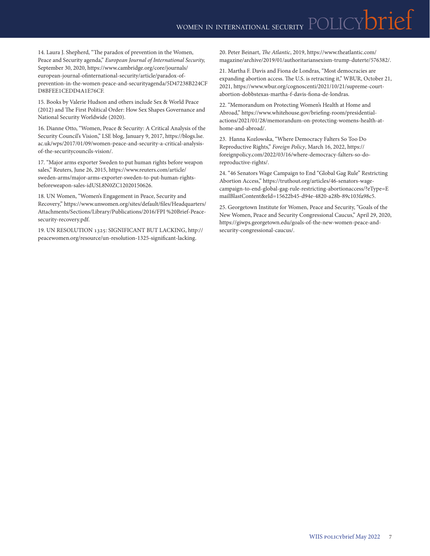14. Laura J. Shepherd, "The paradox of prevention in the Women, Peace and Security agenda," *European Journal of International Security,* September 30, 2020, [https://www.cambridge.org/core/journals/](https://www.cambridge.org/core/journals/european-journal-of-international-security/article/paradox-of-prevention-in-the-women-peace-and-security-agenda/5D47238B224CFD8BFEE1CEDD4A1E76CF) [european-journal-ofinternational-security/article/paradox-of](https://www.cambridge.org/core/journals/european-journal-of-international-security/article/paradox-of-prevention-in-the-women-peace-and-security-agenda/5D47238B224CFD8BFEE1CEDD4A1E76CF)[prevention-in-the-women-peace-and-securityagenda/5D47238B224CF](https://www.cambridge.org/core/journals/european-journal-of-international-security/article/paradox-of-prevention-in-the-women-peace-and-security-agenda/5D47238B224CFD8BFEE1CEDD4A1E76CF) [D8BFEE1CEDD4A1E76CF.](https://www.cambridge.org/core/journals/european-journal-of-international-security/article/paradox-of-prevention-in-the-women-peace-and-security-agenda/5D47238B224CFD8BFEE1CEDD4A1E76CF)

15. Books by Valerie Hudson and others include Sex & World Peace (2012) and The First Political Order: How Sex Shapes Governance and National Security Worldwide (2020).

16. Dianne Otto, "Women, Peace & Security: A Critical Analysis of the Security Council's Vision," LSE blog, January 9, 2017, [https://blogs.lse.](https://blogs.lse.ac.uk/wps/2017/01/09/women-peace-and-security-a-critical-analysis-of-the-security-councils-vision/) [ac.uk/wps/2017/01/09/women-peace-and-security-a-critical-analysis](https://blogs.lse.ac.uk/wps/2017/01/09/women-peace-and-security-a-critical-analysis-of-the-security-councils-vision/)[of-the-securitycouncils-vision/.](https://blogs.lse.ac.uk/wps/2017/01/09/women-peace-and-security-a-critical-analysis-of-the-security-councils-vision/)

17. "Major arms exporter Sweden to put human rights before weapon sales," Reuters, June 26, 2015, https://www.reuters.com/article/ sweden-arms/major-arms-exporter-sweden-to-put-human-rightsbeforeweapon-sales-idUSL8N0ZC12020150626.

18. UN Women, "Women's Engagement in Peace, Security and Recovery," [https://www.unwomen.org/sites/default/files/Headquarters/](https://www.unwomen.org/sites/default/files/Headquarters/Attachments/Sections/Library/Publications/2016/FPI%20Brief-Peace-security-recovery.pdf) [Attachments/Sections/Library/Publications/2016/FPI %20Brief-Peace](https://www.unwomen.org/sites/default/files/Headquarters/Attachments/Sections/Library/Publications/2016/FPI%20Brief-Peace-security-recovery.pdf)[security-recovery.pdf](https://www.unwomen.org/sites/default/files/Headquarters/Attachments/Sections/Library/Publications/2016/FPI%20Brief-Peace-security-recovery.pdf).

19. UN RESOLUTION 1325: SIGNIFICANT BUT LACKING, http:// peacewomen.org/resource/un-resolution-1325-significant-lacking.

20. Peter Beinart, *The Atlantic*, 2019, [https://www.theatlantic.com/](https://www.theatlantic.com/magazine/archive/2019/01/authoritarian-sexism-trump-duterte/576382/) [magazine/archive/2019/01/authoritariansexism-trump-duterte/576382/](https://www.theatlantic.com/magazine/archive/2019/01/authoritarian-sexism-trump-duterte/576382/).

21. Martha F. Davis and Fiona de Londras, "Most democracies are expanding abortion access. The U.S. is retracting it," WBUR, October 21, 2021, [https://www.wbur.org/cognoscenti/2021/10/21/supreme-court](https://www.wbur.org/cognoscenti/2021/10/21/supreme-court-abortion-dobbs-texas-martha-f-davis-fiona-de-londras)[abortion-dobbstexas-martha-f-davis-fiona-de-londras.](https://www.wbur.org/cognoscenti/2021/10/21/supreme-court-abortion-dobbs-texas-martha-f-davis-fiona-de-londras)

22. "Memorandum on Protecting Women's Health at Home and Abroad," https://www.whitehouse.gov/briefing-room/presidentialactions/2021/01/28/memorandum-on-protecting-womens-health-athome-and-abroad/.

23. Hanna Kozlowska, "Where Democracy Falters So Too Do Reproductive Rights," *Foreign Policy*, March 16, 2022, https:// foreignpolicy.com/2022/03/16/where-democracy-falters-so-doreproductive-rights/.

24. "46 Senators Wage Campaign to End "Global Gag Rule" Restricting Abortion Access," https://truthout.org/articles/46-senators-wagecampaign-to-end-global-gag-rule-restricting-abortionaccess/?eType=E mailBlastContent&eId=15622b45-d94e-4820-a28b-89c103fa98c5.

25. Georgetown Institute for Women, Peace and Security, "Goals of the New Women, Peace and Security Congressional Caucus," April 29, 2020, https://giwps.georgetown.edu/goals-of-the-new-women-peace-andsecurity-congressional-caucus/.